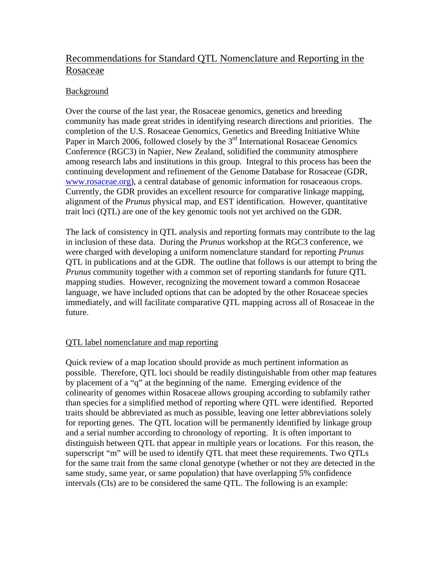# Recommendations for Standard QTL Nomenclature and Reporting in the Rosaceae

# Background

Over the course of the last year, the Rosaceae genomics, genetics and breeding community has made great strides in identifying research directions and priorities. The completion of the U.S. Rosaceae Genomics, Genetics and Breeding Initiative White Paper in March 2006, followed closely by the  $3<sup>rd</sup>$  International Rosaceae Genomics Conference (RGC3) in Napier, New Zealand, solidified the community atmosphere among research labs and institutions in this group. Integral to this process has been the continuing development and refinement of the Genome Database for Rosaceae (GDR, [www.rosaceae.org](http://www.rosaceae.org/)), a central database of genomic information for rosaceaous crops. Currently, the GDR provides an excellent resource for comparative linkage mapping, alignment of the *Prunus* physical map, and EST identification. However, quantitative trait loci (QTL) are one of the key genomic tools not yet archived on the GDR.

The lack of consistency in QTL analysis and reporting formats may contribute to the lag in inclusion of these data. During the *Prunus* workshop at the RGC3 conference, we were charged with developing a uniform nomenclature standard for reporting *Prunus* QTL in publications and at the GDR. The outline that follows is our attempt to bring the *Prunus* community together with a common set of reporting standards for future QTL mapping studies. However, recognizing the movement toward a common Rosaceae language, we have included options that can be adopted by the other Rosaceae species immediately, and will facilitate comparative QTL mapping across all of Rosaceae in the future.

# QTL label nomenclature and map reporting

Quick review of a map location should provide as much pertinent information as possible. Therefore, QTL loci should be readily distinguishable from other map features by placement of a "q" at the beginning of the name. Emerging evidence of the colinearity of genomes within Rosaceae allows grouping according to subfamily rather than species for a simplified method of reporting where QTL were identified. Reported traits should be abbreviated as much as possible, leaving one letter abbreviations solely for reporting genes. The QTL location will be permanently identified by linkage group and a serial number according to chronology of reporting. It is often important to distinguish between QTL that appear in multiple years or locations. For this reason, the superscript "m" will be used to identify QTL that meet these requirements. Two QTLs for the same trait from the same clonal genotype (whether or not they are detected in the same study, same year, or same population) that have overlapping 5% confidence intervals (CIs) are to be considered the same QTL. The following is an example: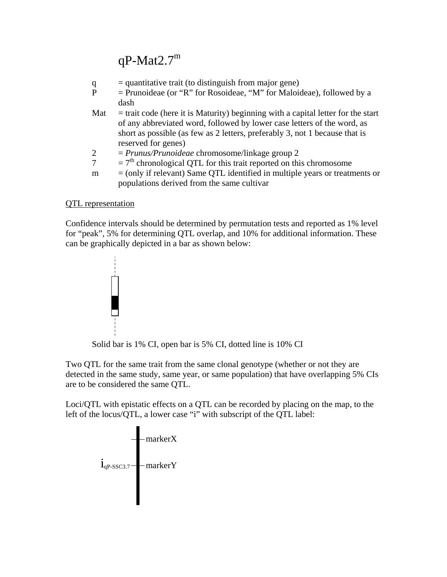# $qP-Mat2.7<sup>m</sup>$

| q   | $=$ quantitative trait (to distinguish from major gene)                            |
|-----|------------------------------------------------------------------------------------|
| P   | $=$ Prunoideae (or "R" for Rosoideae, "M" for Maloideae), followed by a            |
|     | dash                                                                               |
| Mat | $=$ trait code (here it is Maturity) beginning with a capital letter for the start |
|     | of any abbreviated word, followed by lower case letters of the word, as            |
|     | short as possible (as few as 2 letters, preferably 3, not 1 because that is        |
|     | reserved for genes)                                                                |
| 2   | $= Prunus/Prunoideae$ chromosome/linkage group 2                                   |
|     | $=7th$ chronological QTL for this trait reported on this chromosome                |
| m   | $=$ (only if relevant) Same QTL identified in multiple years or treatments or      |
|     | populations derived from the same cultivar                                         |

### QTL representation

Confidence intervals should be determined by permutation tests and reported as 1% level for "peak", 5% for determining QTL overlap, and 10% for additional information. These can be graphically depicted in a bar as shown below:



Solid bar is 1% CI, open bar is 5% CI, dotted line is 10% CI

Two QTL for the same trait from the same clonal genotype (whether or not they are detected in the same study, same year, or same population) that have overlapping 5% CIs are to be considered the same QTL.

Loci/QTL with epistatic effects on a QTL can be recorded by placing on the map, to the left of the locus/QTL, a lower case "i" with subscript of the QTL label: